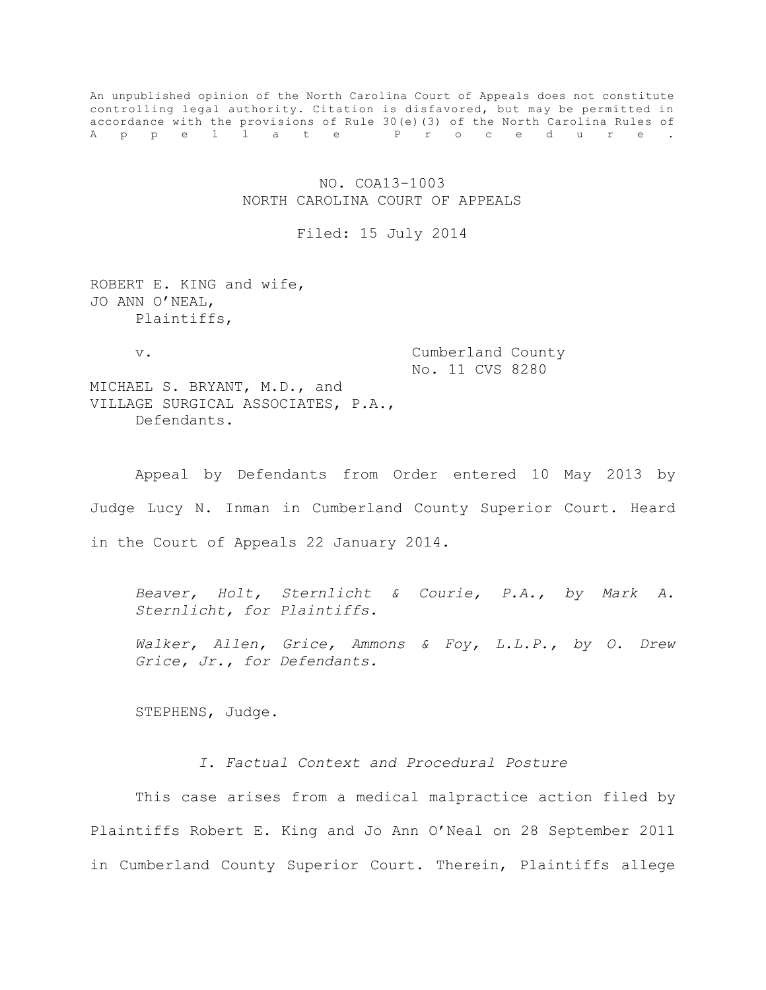An unpublished opinion of the North Carolina Court of Appeals does not constitute controlling legal authority. Citation is disfavored, but may be permitted in accordance with the provisions of Rule 30(e)(3) of the North Carolina Rules of A p p e l l a t e P r o c e d u r e .

# NO. COA13-1003 NORTH CAROLINA COURT OF APPEALS

## Filed: 15 July 2014

ROBERT E. KING and wife, JO ANN O'NEAL, Plaintiffs,

v. Cumberland County No. 11 CVS 8280

MICHAEL S. BRYANT, M.D., and VILLAGE SURGICAL ASSOCIATES, P.A., Defendants.

Appeal by Defendants from Order entered 10 May 2013 by Judge Lucy N. Inman in Cumberland County Superior Court. Heard in the Court of Appeals 22 January 2014.

*Beaver, Holt, Sternlicht & Courie, P.A., by Mark A. Sternlicht, for Plaintiffs.* 

*Walker, Allen, Grice, Ammons & Foy, L.L.P., by O. Drew Grice, Jr., for Defendants.* 

STEPHENS, Judge.

*I. Factual Context and Procedural Posture*

This case arises from a medical malpractice action filed by Plaintiffs Robert E. King and Jo Ann O'Neal on 28 September 2011 in Cumberland County Superior Court. Therein, Plaintiffs allege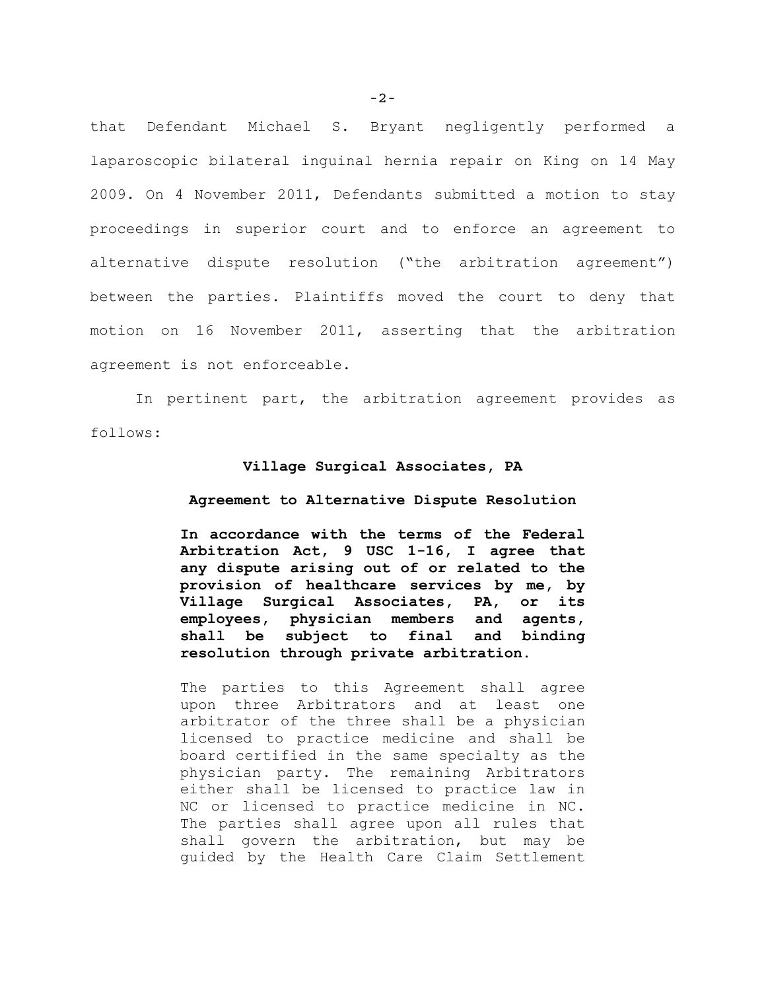that Defendant Michael S. Bryant negligently performed a laparoscopic bilateral inguinal hernia repair on King on 14 May 2009. On 4 November 2011, Defendants submitted a motion to stay proceedings in superior court and to enforce an agreement to alternative dispute resolution ("the arbitration agreement") between the parties. Plaintiffs moved the court to deny that motion on 16 November 2011, asserting that the arbitration agreement is not enforceable.

In pertinent part, the arbitration agreement provides as follows:

### **Village Surgical Associates, PA**

## **Agreement to Alternative Dispute Resolution**

**In accordance with the terms of the Federal Arbitration Act, 9 USC 1-16, I agree that any dispute arising out of or related to the provision of healthcare services by me, by Village Surgical Associates, PA, or its employees, physician members and agents, shall be subject to final and binding resolution through private arbitration.** 

The parties to this Agreement shall agree upon three Arbitrators and at least one arbitrator of the three shall be a physician licensed to practice medicine and shall be board certified in the same specialty as the physician party. The remaining Arbitrators either shall be licensed to practice law in NC or licensed to practice medicine in NC. The parties shall agree upon all rules that shall govern the arbitration, but may be guided by the Health Care Claim Settlement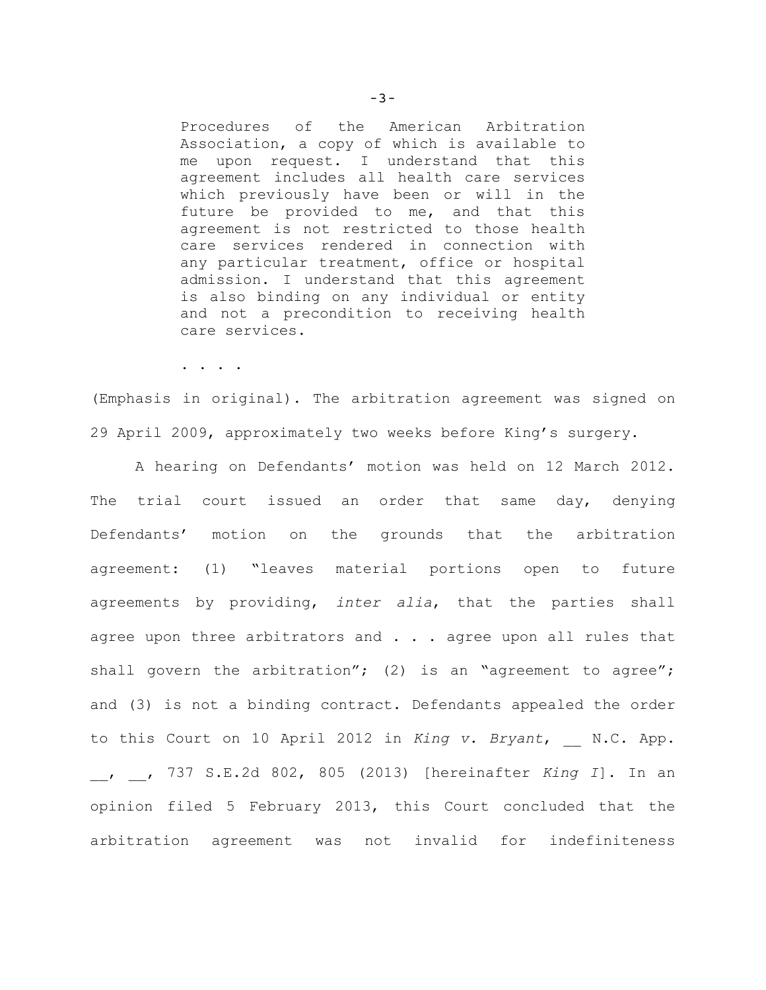Procedures of the American Arbitration Association, a copy of which is available to me upon request. I understand that this agreement includes all health care services which previously have been or will in the future be provided to me, and that this agreement is not restricted to those health care services rendered in connection with any particular treatment, office or hospital admission. I understand that this agreement is also binding on any individual or entity and not a precondition to receiving health care services.

. . . .

(Emphasis in original). The arbitration agreement was signed on 29 April 2009, approximately two weeks before King's surgery.

A hearing on Defendants' motion was held on 12 March 2012. The trial court issued an order that same day, denying Defendants' motion on the grounds that the arbitration agreement: (1) "leaves material portions open to future agreements by providing, *inter alia*, that the parties shall agree upon three arbitrators and . . . agree upon all rules that shall govern the arbitration"; (2) is an "agreement to agree"; and (3) is not a binding contract. Defendants appealed the order to this Court on 10 April 2012 in *King v. Bryant*, N.C. App. \_\_, \_\_, 737 S.E.2d 802, 805 (2013) [hereinafter *King I*]. In an opinion filed 5 February 2013, this Court concluded that the arbitration agreement was not invalid for indefiniteness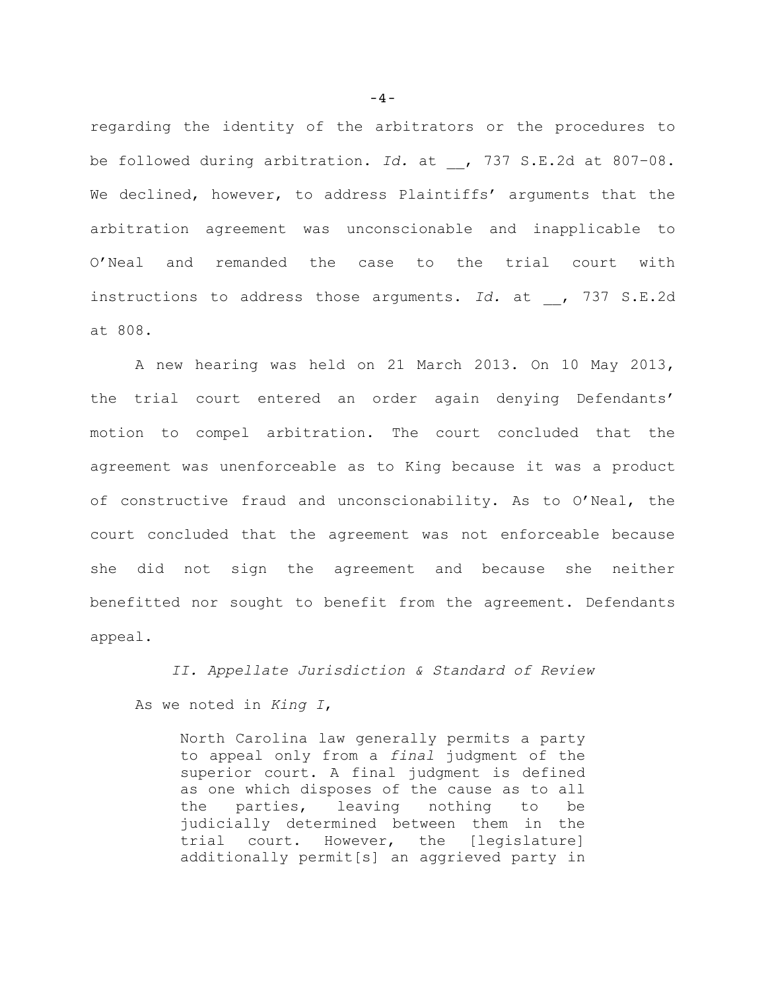regarding the identity of the arbitrators or the procedures to be followed during arbitration. *Id.* at , 737 S.E.2d at 807-08. We declined, however, to address Plaintiffs' arguments that the arbitration agreement was unconscionable and inapplicable to O'Neal and remanded the case to the trial court with instructions to address those arguments. *Id.* at , 737 S.E.2d at 808.

A new hearing was held on 21 March 2013. On 10 May 2013, the trial court entered an order again denying Defendants' motion to compel arbitration. The court concluded that the agreement was unenforceable as to King because it was a product of constructive fraud and unconscionability. As to O'Neal, the court concluded that the agreement was not enforceable because she did not sign the agreement and because she neither benefitted nor sought to benefit from the agreement. Defendants appeal.

*II. Appellate Jurisdiction & Standard of Review* As we noted in *King I*,

North Carolina law generally permits a party to appeal only from a *final* judgment of the superior court. A final judgment is defined as one which disposes of the cause as to all the parties, leaving nothing to be judicially determined between them in the trial court. However, the [legislature] additionally permit[s] an aggrieved party in

-4-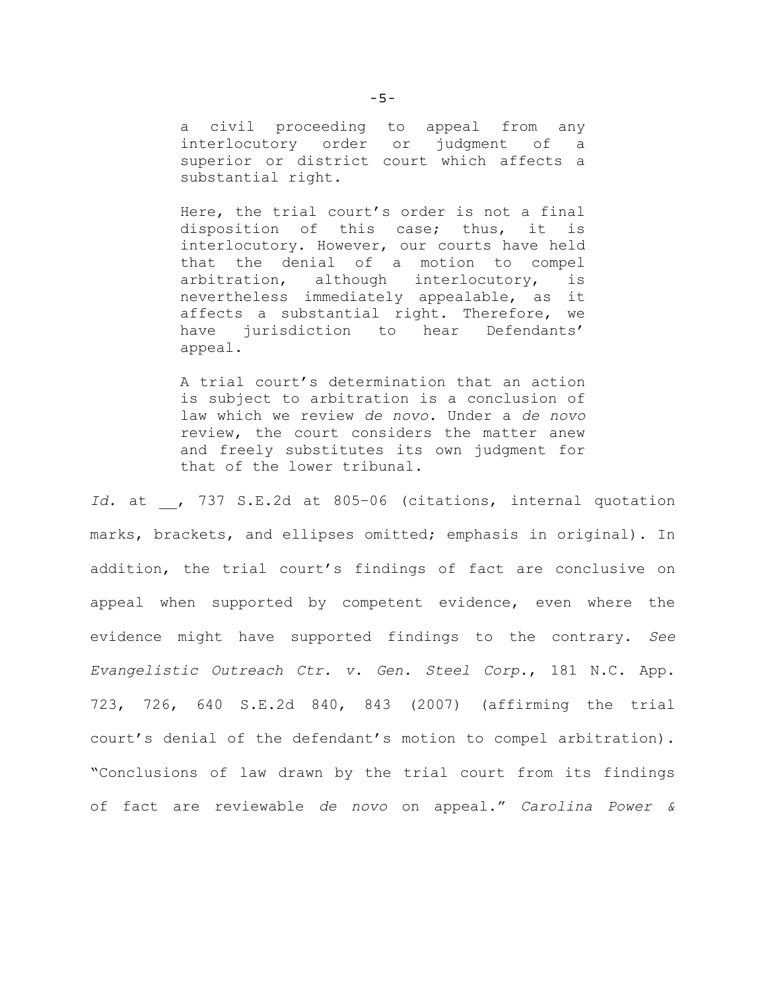a civil proceeding to appeal from any interlocutory order or judgment of a superior or district court which affects a substantial right.

Here, the trial court's order is not a final disposition of this case; thus, it is interlocutory. However, our courts have held that the denial of a motion to compel arbitration, although interlocutory, is nevertheless immediately appealable, as it affects a substantial right. Therefore, we have jurisdiction to hear Defendants' appeal.

A trial court's determination that an action is subject to arbitration is a conclusion of law which we review *de novo*. Under a *de novo*  review, the court considers the matter anew and freely substitutes its own judgment for that of the lower tribunal.

Id. at , 737 S.E.2d at 805-06 (citations, internal quotation marks, brackets, and ellipses omitted; emphasis in original). In addition, the trial court's findings of fact are conclusive on appeal when supported by competent evidence, even where the evidence might have supported findings to the contrary. *See Evangelistic Outreach Ctr. v. Gen. Steel Corp.*, 181 N.C. App. 723, 726, 640 S.E.2d 840, 843 (2007) (affirming the trial court's denial of the defendant's motion to compel arbitration). "Conclusions of law drawn by the trial court from its findings of fact are reviewable *de novo* on appeal." *Carolina Power &*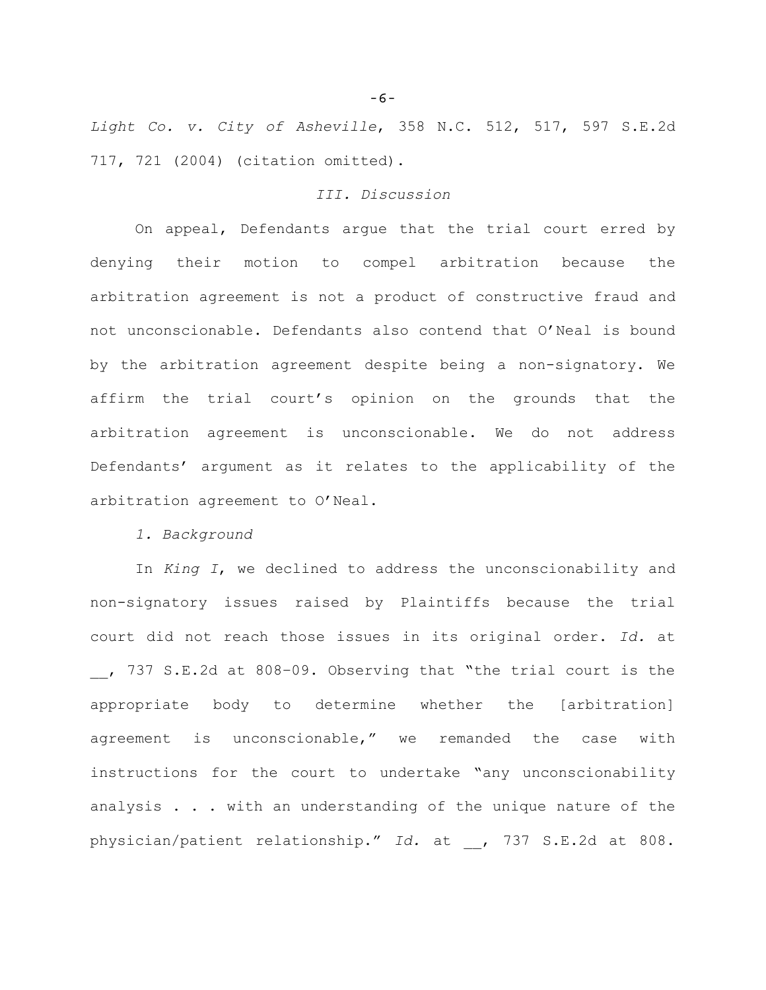*Light Co. v. City of Asheville*, 358 N.C. 512, 517, 597 S.E.2d 717, 721 (2004) (citation omitted).

# *III. Discussion*

On appeal, Defendants argue that the trial court erred by denying their motion to compel arbitration because the arbitration agreement is not a product of constructive fraud and not unconscionable. Defendants also contend that O'Neal is bound by the arbitration agreement despite being a non-signatory. We affirm the trial court's opinion on the grounds that the arbitration agreement is unconscionable. We do not address Defendants' argument as it relates to the applicability of the arbitration agreement to O'Neal.

*1. Background*

In *King I*, we declined to address the unconscionability and non-signatory issues raised by Plaintiffs because the trial court did not reach those issues in its original order. *Id.* at \_\_, 737 S.E.2d at 808–09. Observing that "the trial court is the appropriate body to determine whether the [arbitration] agreement is unconscionable," we remanded the case with instructions for the court to undertake "any unconscionability analysis . . . with an understanding of the unique nature of the physician/patient relationship." *Id.* at \_\_, 737 S.E.2d at 808.

-6-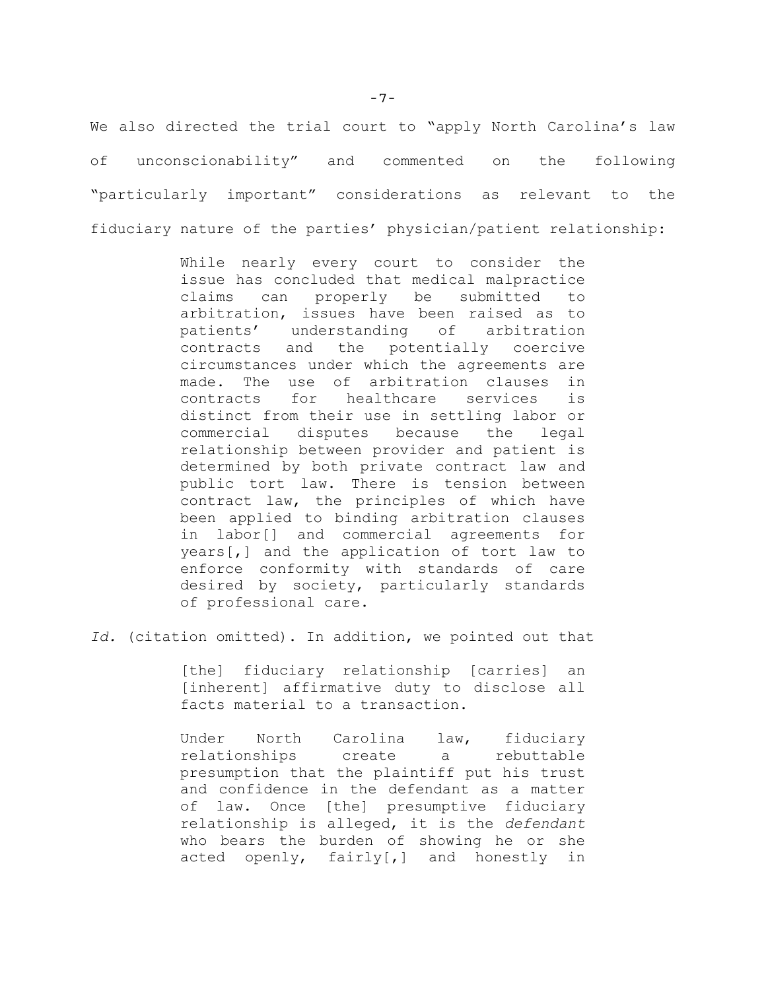We also directed the trial court to "apply North Carolina's law of unconscionability" and commented on the following "particularly important" considerations as relevant to the fiduciary nature of the parties' physician/patient relationship:

> While nearly every court to consider the issue has concluded that medical malpractice claims can properly be submitted to arbitration, issues have been raised as to patients' understanding of arbitration contracts and the potentially coercive circumstances under which the agreements are made. The use of arbitration clauses in contracts for healthcare services is distinct from their use in settling labor or commercial disputes because the legal relationship between provider and patient is determined by both private contract law and public tort law. There is tension between contract law, the principles of which have been applied to binding arbitration clauses in labor[] and commercial agreements for years[,] and the application of tort law to enforce conformity with standards of care desired by society, particularly standards of professional care.

*Id.* (citation omitted). In addition, we pointed out that

[the] fiduciary relationship [carries] an [inherent] affirmative duty to disclose all facts material to a transaction.

Under North Carolina law, fiduciary relationships create a rebuttable presumption that the plaintiff put his trust and confidence in the defendant as a matter of law. Once [the] presumptive fiduciary relationship is alleged, it is the *defendant* who bears the burden of showing he or she acted openly, fairly[,] and honestly in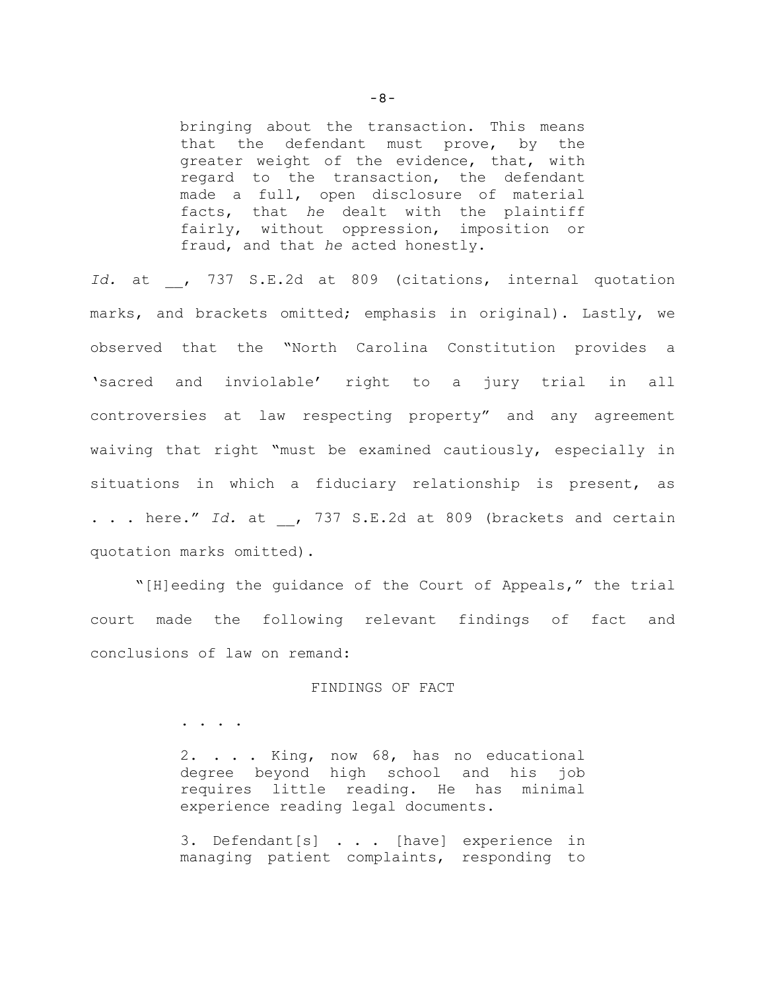bringing about the transaction. This means that the defendant must prove, by the greater weight of the evidence, that, with regard to the transaction, the defendant made a full, open disclosure of material facts, that *he* dealt with the plaintiff fairly, without oppression, imposition or fraud, and that *he* acted honestly.

Id. at , 737 S.E.2d at 809 (citations, internal quotation marks, and brackets omitted; emphasis in original). Lastly, we observed that the "North Carolina Constitution provides a 'sacred and inviolable' right to a jury trial in all controversies at law respecting property" and any agreement waiving that right "must be examined cautiously, especially in situations in which a fiduciary relationship is present, as . . . here." Id. at , 737 S.E.2d at 809 (brackets and certain quotation marks omitted).

"[H]eeding the guidance of the Court of Appeals," the trial court made the following relevant findings of fact and conclusions of law on remand:

## FINDINGS OF FACT

. . . .

2. . . . King, now 68, has no educational degree beyond high school and his job requires little reading. He has minimal experience reading legal documents.

3. Defendant[s] . . . [have] experience in managing patient complaints, responding to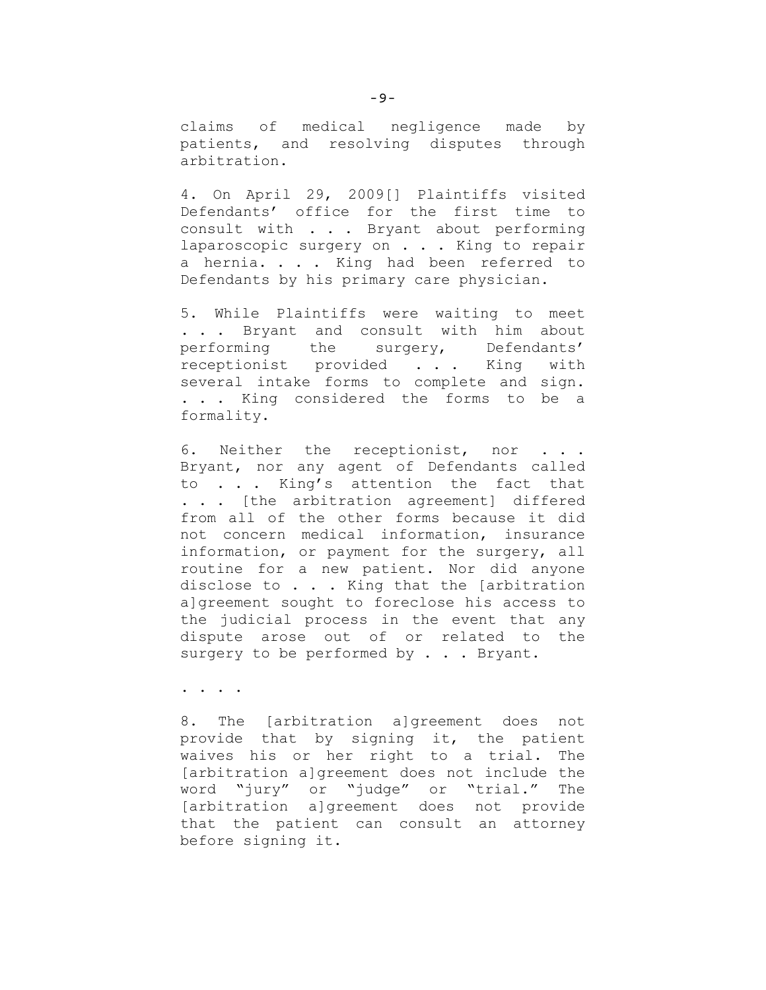claims of medical negligence made by patients, and resolving disputes through arbitration.

4. On April 29, 2009[] Plaintiffs visited Defendants' office for the first time to consult with . . . Bryant about performing laparoscopic surgery on . . . King to repair a hernia. . . . King had been referred to Defendants by his primary care physician.

5. While Plaintiffs were waiting to meet . . . Bryant and consult with him about performing the surgery, Defendants' receptionist provided . . . King with several intake forms to complete and sign. . . . King considered the forms to be a formality.

6. Neither the receptionist, nor . . . Bryant, nor any agent of Defendants called to . . . King's attention the fact that . . . [the arbitration agreement] differed from all of the other forms because it did not concern medical information, insurance information, or payment for the surgery, all routine for a new patient. Nor did anyone disclose to . . . King that the [arbitration a]greement sought to foreclose his access to the judicial process in the event that any dispute arose out of or related to the surgery to be performed by . . . Bryant.

. . . .

8. The [arbitration a]greement does not provide that by signing it, the patient waives his or her right to a trial. The [arbitration a]greement does not include the word "jury" or "judge" or "trial." The [arbitration a]greement does not provide that the patient can consult an attorney before signing it.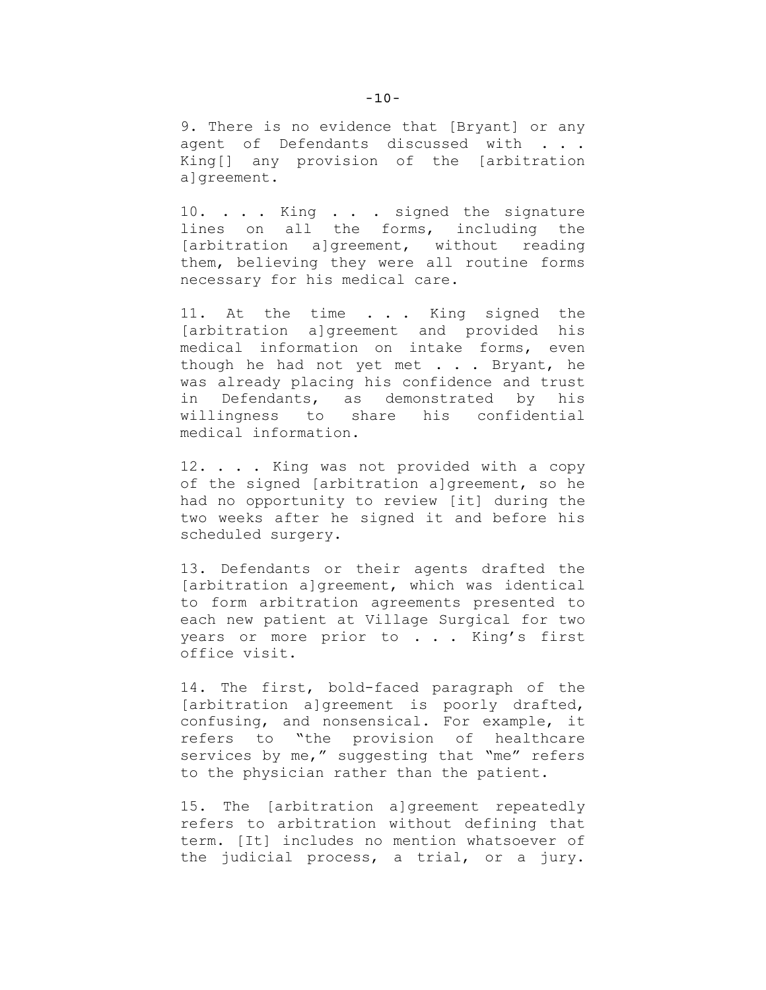9. There is no evidence that [Bryant] or any agent of Defendants discussed with . . . King[] any provision of the [arbitration algreement.

10. . . . King . . . signed the signature lines on all the forms, including the [arbitration a]greement, without reading them, believing they were all routine forms necessary for his medical care.

11. At the time . . . King signed the [arbitration a]greement and provided his medical information on intake forms, even though he had not yet met . . . Bryant, he was already placing his confidence and trust in Defendants, as demonstrated by his willingness to share his confidential medical information.

12. . . . King was not provided with a copy of the signed [arbitration a]greement, so he had no opportunity to review [it] during the two weeks after he signed it and before his scheduled surgery.

13. Defendants or their agents drafted the [arbitration a]greement, which was identical to form arbitration agreements presented to each new patient at Village Surgical for two years or more prior to . . . King's first office visit.

14. The first, bold-faced paragraph of the [arbitration a]greement is poorly drafted, confusing, and nonsensical. For example, it refers to "the provision of healthcare services by me," suggesting that "me" refers to the physician rather than the patient.

15. The [arbitration a]greement repeatedly refers to arbitration without defining that term. [It] includes no mention whatsoever of the judicial process, a trial, or a jury.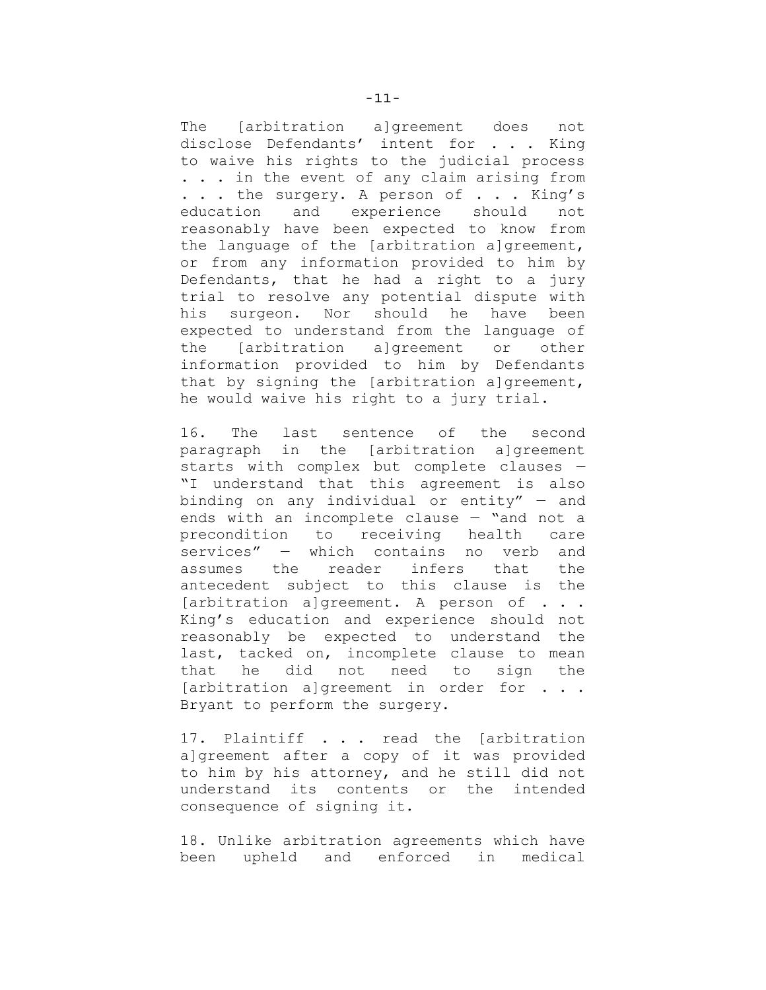The [arbitration a]greement does not disclose Defendants' intent for . . . King to waive his rights to the judicial process . . . in the event of any claim arising from ... the surgery. A person of ... King's education and experience should not reasonably have been expected to know from the language of the [arbitration a]greement, or from any information provided to him by Defendants, that he had a right to a jury trial to resolve any potential dispute with his surgeon. Nor should he have been expected to understand from the language of the [arbitration a]greement or other information provided to him by Defendants that by signing the [arbitration a]greement, he would waive his right to a jury trial.

16. The last sentence of the second paragraph in the [arbitration a]greement starts with complex but complete clauses — "I understand that this agreement is also binding on any individual or entity" — and ends with an incomplete clause — "and not a precondition to receiving health care services" — which contains no verb and assumes the reader infers that the antecedent subject to this clause is the [arbitration a]greement. A person of . . . King's education and experience should not reasonably be expected to understand the last, tacked on, incomplete clause to mean that he did not need to sign the [arbitration a]greement in order for . . . Bryant to perform the surgery.

17. Plaintiff . . . read the [arbitration a]greement after a copy of it was provided to him by his attorney, and he still did not understand its contents or the intended consequence of signing it.

18. Unlike arbitration agreements which have been upheld and enforced in medical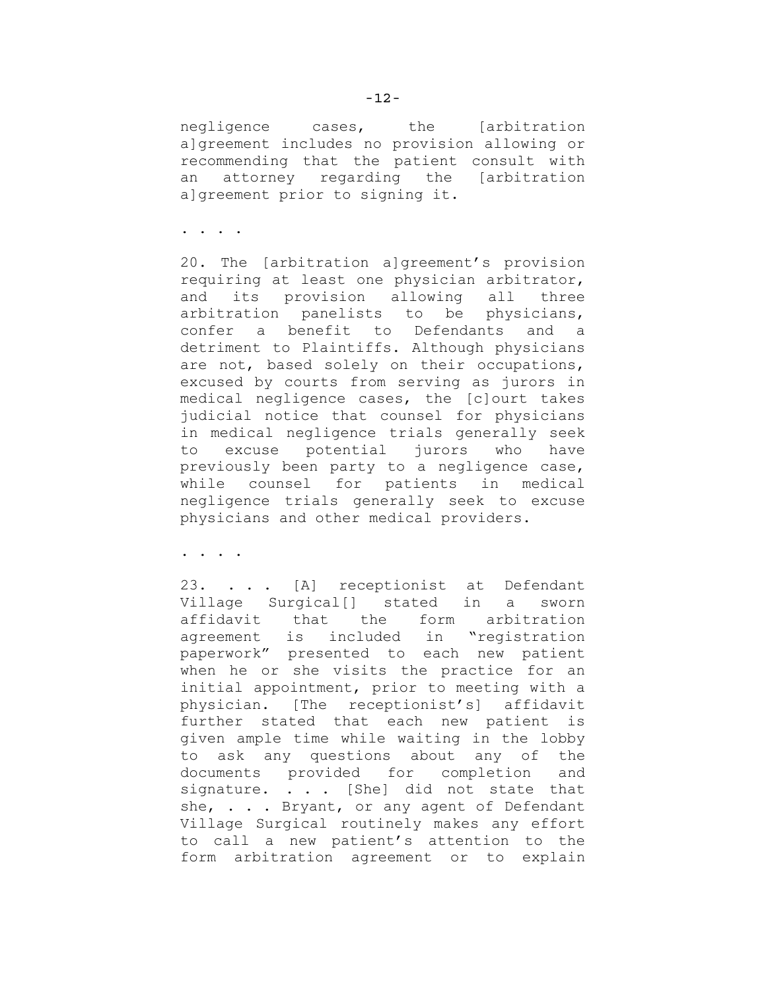negligence cases, the [arbitration a]greement includes no provision allowing or recommending that the patient consult with an attorney regarding the [arbitration algreement prior to signing it.

. . . .

20. The [arbitration a]greement's provision requiring at least one physician arbitrator, and its provision allowing all three arbitration panelists to be physicians, confer a benefit to Defendants and a detriment to Plaintiffs. Although physicians are not, based solely on their occupations, excused by courts from serving as jurors in medical negligence cases, the [c]ourt takes judicial notice that counsel for physicians in medical negligence trials generally seek to excuse potential jurors who have previously been party to a negligence case, while counsel for patients in medical negligence trials generally seek to excuse physicians and other medical providers.

. . . .

23. . . . [A] receptionist at Defendant Village Surgical[] stated in a sworn affidavit that the form arbitration agreement is included in "registration paperwork" presented to each new patient when he or she visits the practice for an initial appointment, prior to meeting with a physician. [The receptionist's] affidavit further stated that each new patient is given ample time while waiting in the lobby to ask any questions about any of the documents provided for completion and signature. . . . [She] did not state that she, . . . Bryant, or any agent of Defendant Village Surgical routinely makes any effort to call a new patient's attention to the form arbitration agreement or to explain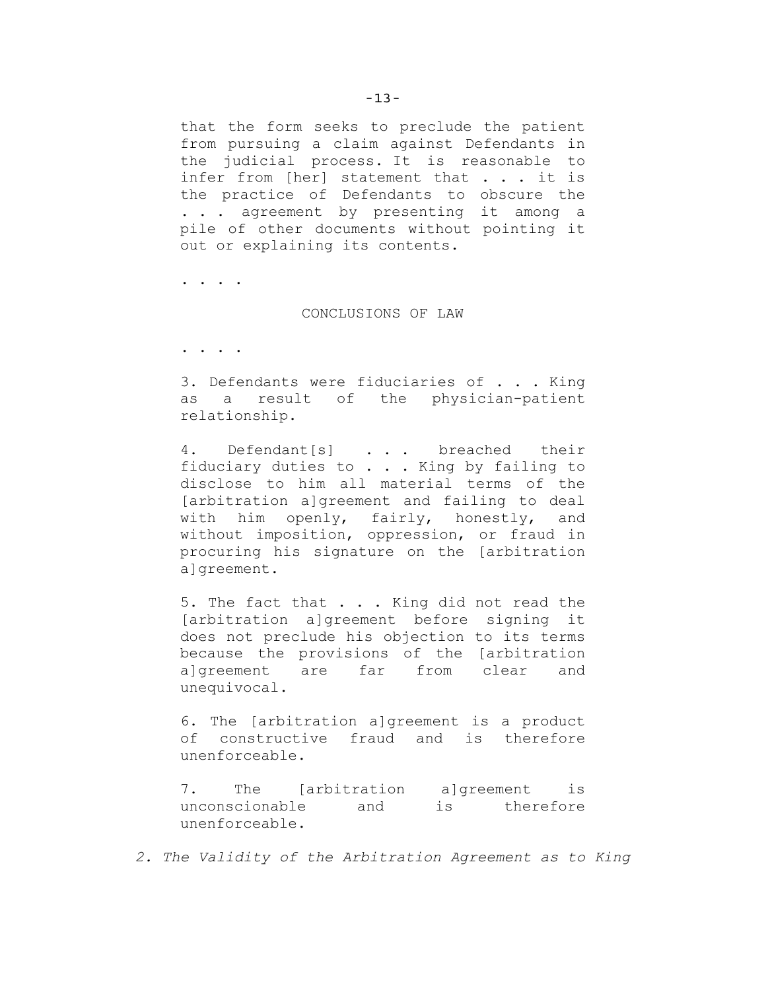that the form seeks to preclude the patient from pursuing a claim against Defendants in the judicial process. It is reasonable to infer from [her] statement that . . . it is the practice of Defendants to obscure the . . . agreement by presenting it among a pile of other documents without pointing it out or explaining its contents.

. . . .

#### CONCLUSIONS OF LAW

. . . .

3. Defendants were fiduciaries of . . . King as a result of the physician-patient relationship.

4. Defendant[s] . . . breached their fiduciary duties to . . . King by failing to disclose to him all material terms of the [arbitration a]greement and failing to deal with him openly, fairly, honestly, and without imposition, oppression, or fraud in procuring his signature on the [arbitration a]greement.

5. The fact that . . . King did not read the [arbitration a]greement before signing it does not preclude his objection to its terms because the provisions of the [arbitration a]greement are far from clear and unequivocal.

6. The [arbitration a]greement is a product of constructive fraud and is therefore unenforceable.

7. The [arbitration a]greement is unconscionable and is therefore unenforceable.

*2. The Validity of the Arbitration Agreement as to King*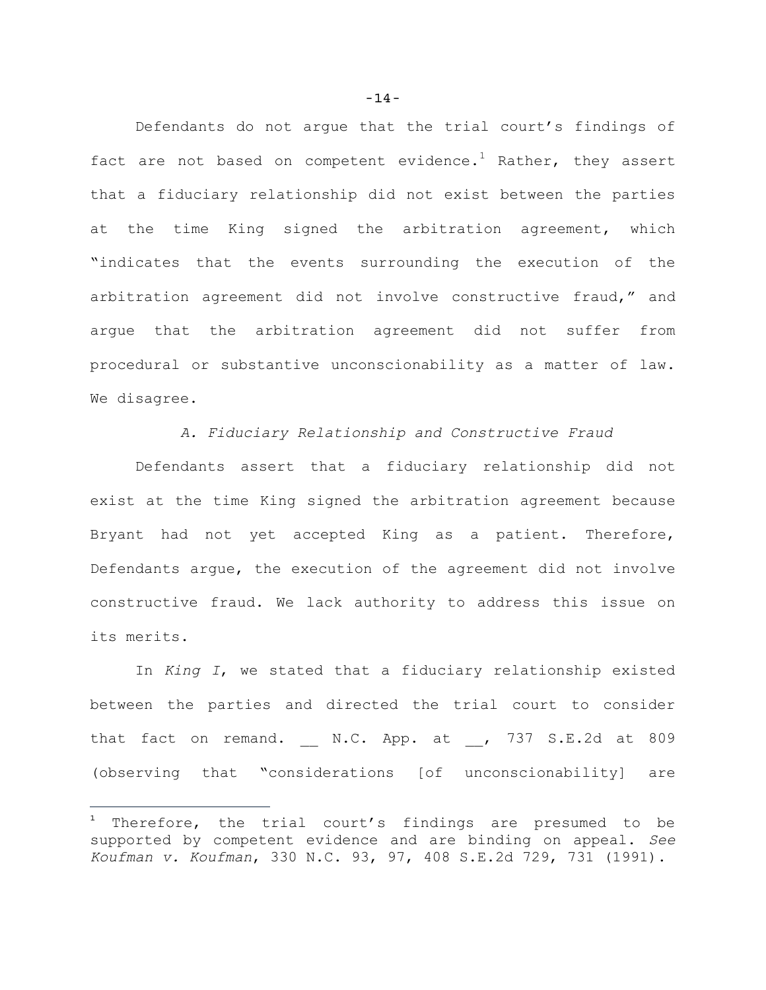Defendants do not argue that the trial court's findings of fact are not based on competent evidence.<sup>1</sup> Rather, they assert that a fiduciary relationship did not exist between the parties at the time King signed the arbitration agreement, which "indicates that the events surrounding the execution of the arbitration agreement did not involve constructive fraud," and argue that the arbitration agreement did not suffer from procedural or substantive unconscionability as a matter of law. We disagree.

*A. Fiduciary Relationship and Constructive Fraud*

Defendants assert that a fiduciary relationship did not exist at the time King signed the arbitration agreement because Bryant had not yet accepted King as a patient. Therefore, Defendants argue, the execution of the agreement did not involve constructive fraud. We lack authority to address this issue on its merits.

In *King I*, we stated that a fiduciary relationship existed between the parties and directed the trial court to consider that fact on remand.  $N.C.$  App. at , 737 S.E.2d at 809 (observing that "considerations [of unconscionability] are

÷.

 $1$  Therefore, the trial court's findings are presumed to be supported by competent evidence and are binding on appeal. *See Koufman v. Koufman*, 330 N.C. 93, 97, 408 S.E.2d 729, 731 (1991).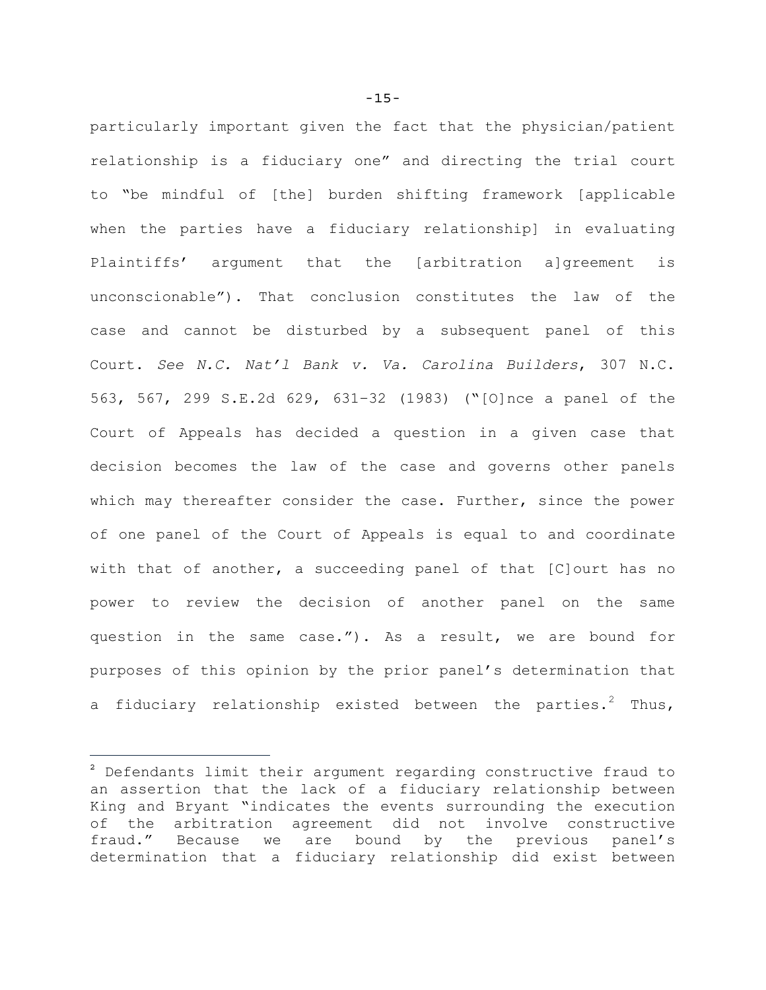particularly important given the fact that the physician/patient relationship is a fiduciary one" and directing the trial court to "be mindful of [the] burden shifting framework [applicable when the parties have a fiduciary relationship] in evaluating Plaintiffs' argument that the [arbitration a]greement is unconscionable"). That conclusion constitutes the law of the case and cannot be disturbed by a subsequent panel of this Court. *See N.C. Nat'l Bank v. Va. Carolina Builders*, 307 N.C. 563, 567, 299 S.E.2d 629, 631–32 (1983) ("[O]nce a panel of the Court of Appeals has decided a question in a given case that decision becomes the law of the case and governs other panels which may thereafter consider the case. Further, since the power of one panel of the Court of Appeals is equal to and coordinate with that of another, a succeeding panel of that [C]ourt has no power to review the decision of another panel on the same question in the same case."). As a result, we are bound for purposes of this opinion by the prior panel's determination that a fiduciary relationship existed between the parties.<sup>2</sup> Thus,

÷.

<sup>2</sup> Defendants limit their argument regarding constructive fraud to an assertion that the lack of a fiduciary relationship between King and Bryant "indicates the events surrounding the execution of the arbitration agreement did not involve constructive fraud." Because we are bound by the previous panel's determination that a fiduciary relationship did exist between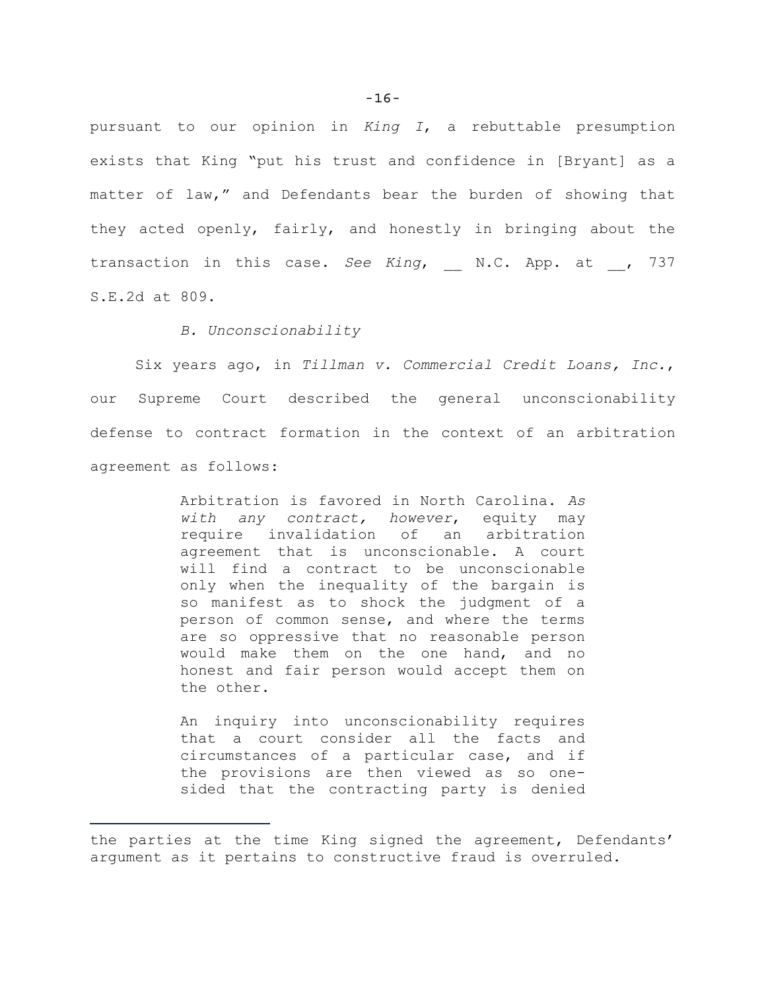pursuant to our opinion in *King I*, a rebuttable presumption exists that King "put his trust and confidence in [Bryant] as a matter of law," and Defendants bear the burden of showing that they acted openly, fairly, and honestly in bringing about the transaction in this case. *See King*, N.C. App. at , 737 S.E.2d at 809.

## *B. Unconscionability*

÷.

Six years ago, in *Tillman v. Commercial Credit Loans, Inc.*, our Supreme Court described the general unconscionability defense to contract formation in the context of an arbitration agreement as follows:

> Arbitration is favored in North Carolina. *As with any contract, however*, equity may require invalidation of an arbitration agreement that is unconscionable. A court will find a contract to be unconscionable only when the inequality of the bargain is so manifest as to shock the judgment of a person of common sense, and where the terms are so oppressive that no reasonable person would make them on the one hand, and no honest and fair person would accept them on the other.

> An inquiry into unconscionability requires that a court consider all the facts and circumstances of a particular case, and if the provisions are then viewed as so onesided that the contracting party is denied

the parties at the time King signed the agreement, Defendants' argument as it pertains to constructive fraud is overruled.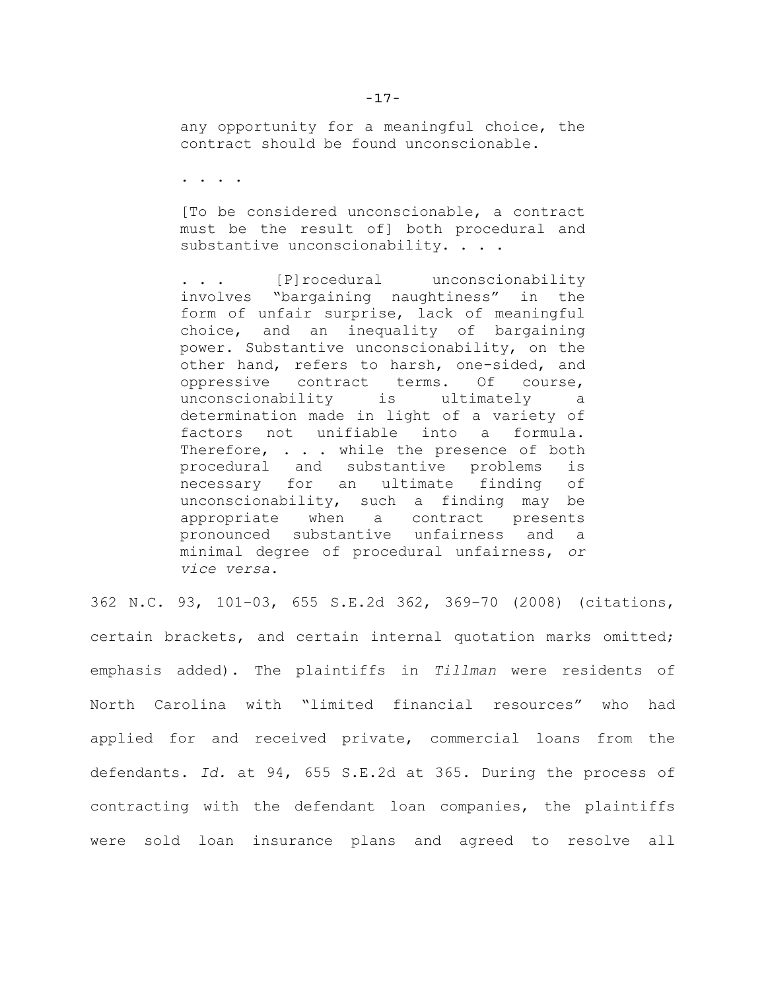any opportunity for a meaningful choice, the contract should be found unconscionable.

. . . .

[To be considered unconscionable, a contract must be the result of] both procedural and substantive unconscionability. . . .

. . . [P]rocedural unconscionability involves "bargaining naughtiness" in the form of unfair surprise, lack of meaningful choice, and an inequality of bargaining power. Substantive unconscionability, on the other hand, refers to harsh, one-sided, and oppressive contract terms. Of course, unconscionability is ultimately a determination made in light of a variety of factors not unifiable into a formula. Therefore, . . . while the presence of both procedural and substantive problems is necessary for an ultimate finding of unconscionability, such a finding may be appropriate when a contract presents pronounced substantive unfairness and a minimal degree of procedural unfairness, *or vice versa*.

362 N.C. 93, 101–03, 655 S.E.2d 362, 369–70 (2008) (citations, certain brackets, and certain internal quotation marks omitted; emphasis added). The plaintiffs in *Tillman* were residents of North Carolina with "limited financial resources" who had applied for and received private, commercial loans from the defendants. *Id.* at 94, 655 S.E.2d at 365. During the process of contracting with the defendant loan companies, the plaintiffs were sold loan insurance plans and agreed to resolve all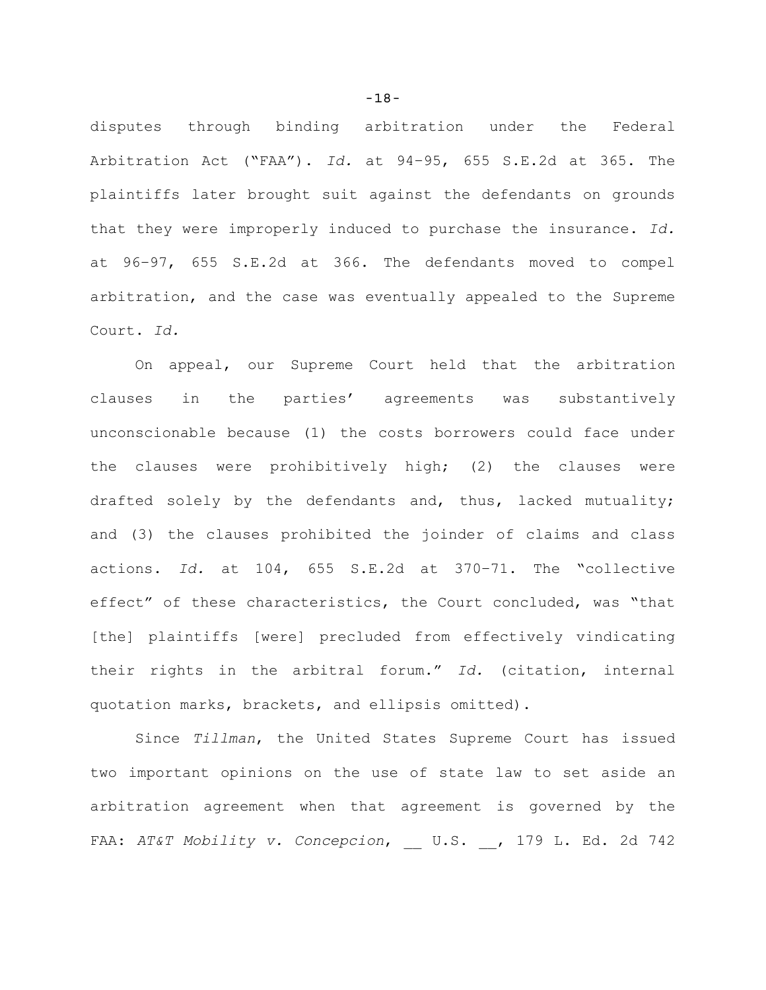disputes through binding arbitration under the Federal Arbitration Act ("FAA"). *Id.* at 94–95, 655 S.E.2d at 365. The plaintiffs later brought suit against the defendants on grounds that they were improperly induced to purchase the insurance. *Id.* at 96–97, 655 S.E.2d at 366. The defendants moved to compel arbitration, and the case was eventually appealed to the Supreme Court. *Id.*

On appeal, our Supreme Court held that the arbitration clauses in the parties' agreements was substantively unconscionable because (1) the costs borrowers could face under the clauses were prohibitively high; (2) the clauses were drafted solely by the defendants and, thus, lacked mutuality; and (3) the clauses prohibited the joinder of claims and class actions. *Id.* at 104, 655 S.E.2d at 370–71. The "collective effect" of these characteristics, the Court concluded, was "that [the] plaintiffs [were] precluded from effectively vindicating their rights in the arbitral forum." *Id.* (citation, internal quotation marks, brackets, and ellipsis omitted).

Since *Tillman*, the United States Supreme Court has issued two important opinions on the use of state law to set aside an arbitration agreement when that agreement is governed by the FAA: *AT&T Mobility v. Concepcion*, U.S. , 179 L. Ed. 2d 742

-18-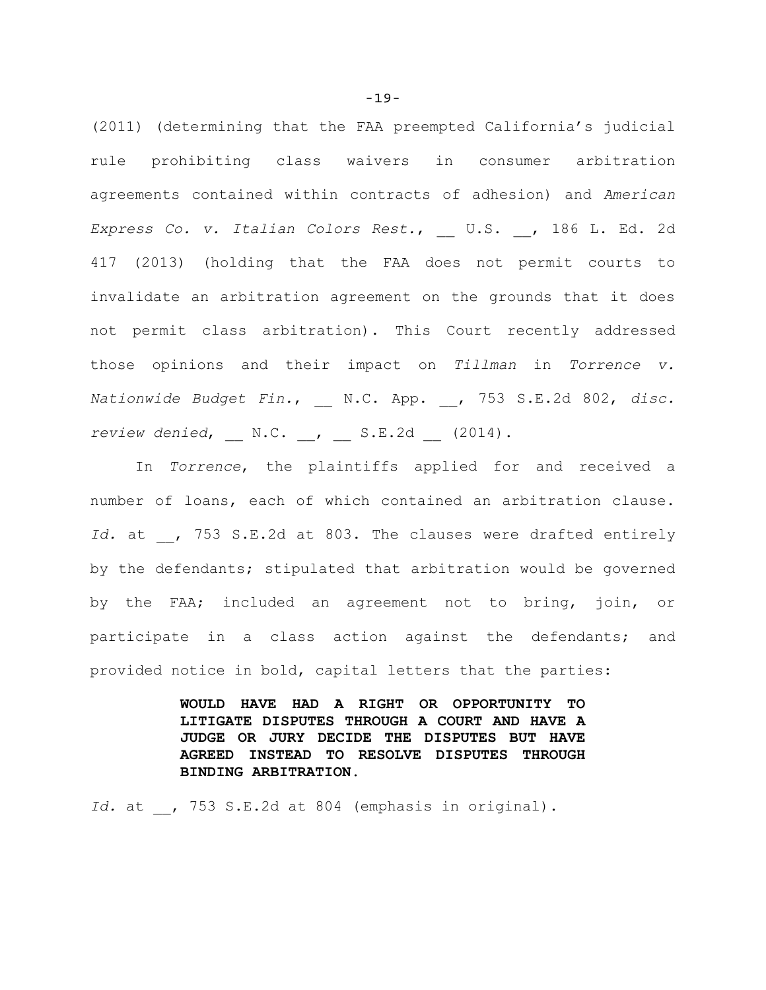(2011) (determining that the FAA preempted California's judicial rule prohibiting class waivers in consumer arbitration agreements contained within contracts of adhesion) and *American Express Co. v. Italian Colors Rest.*, \_\_ U.S. \_\_, 186 L. Ed. 2d 417 (2013) (holding that the FAA does not permit courts to invalidate an arbitration agreement on the grounds that it does not permit class arbitration). This Court recently addressed those opinions and their impact on *Tillman* in *Torrence v. Nationwide Budget Fin.*, \_\_ N.C. App. \_\_, 753 S.E.2d 802, *disc. review denied*, N.C. , S.E.2d (2014).

In *Torrence*, the plaintiffs applied for and received a number of loans, each of which contained an arbitration clause. Id. at , 753 S.E.2d at 803. The clauses were drafted entirely by the defendants; stipulated that arbitration would be governed by the FAA; included an agreement not to bring, join, or participate in a class action against the defendants; and provided notice in bold, capital letters that the parties:

> **WOULD HAVE HAD A RIGHT OR OPPORTUNITY TO LITIGATE DISPUTES THROUGH A COURT AND HAVE A JUDGE OR JURY DECIDE THE DISPUTES BUT HAVE AGREED INSTEAD TO RESOLVE DISPUTES THROUGH BINDING ARBITRATION**.

*Id.* at , 753 S.E.2d at 804 (emphasis in original).

-19-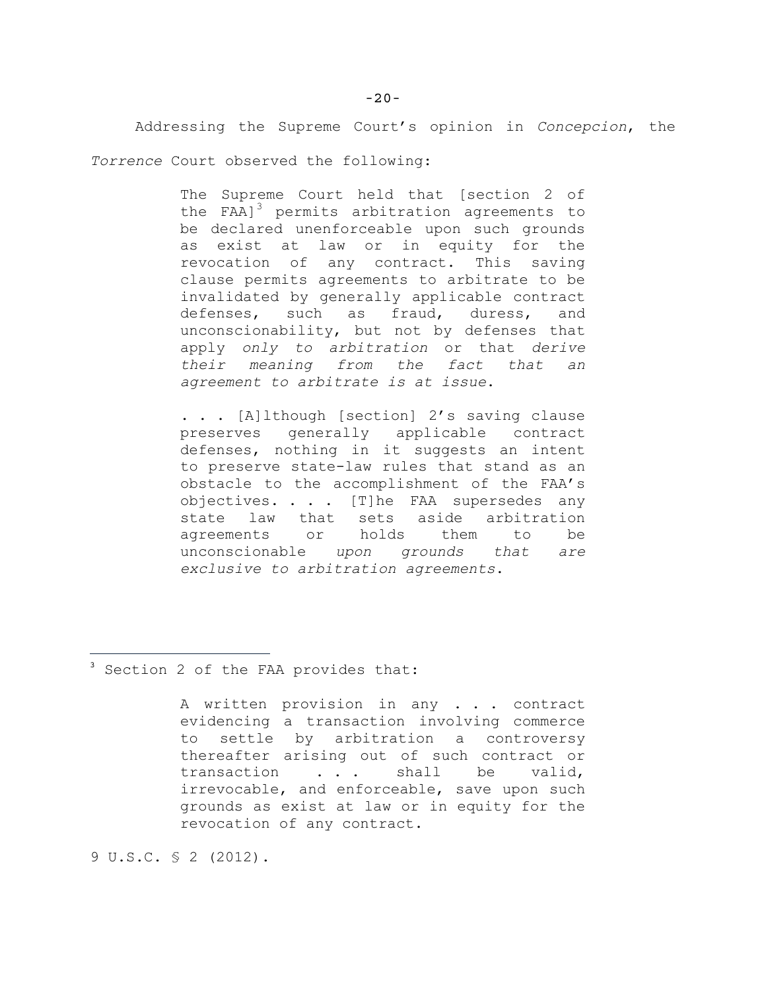Addressing the Supreme Court's opinion in *Concepcion*, the *Torrence* Court observed the following:

> The Supreme Court held that [section 2 of the FAA] $3$  permits arbitration agreements to be declared unenforceable upon such grounds as exist at law or in equity for the revocation of any contract. This saving clause permits agreements to arbitrate to be invalidated by generally applicable contract defenses, such as fraud, duress, and unconscionability, but not by defenses that apply *only to arbitration* or that *derive their meaning from the fact that an agreement to arbitrate is at issue*.

> . . . [A]lthough [section] 2's saving clause preserves generally applicable contract defenses, nothing in it suggests an intent to preserve state-law rules that stand as an obstacle to the accomplishment of the FAA's objectives. . . . [T]he FAA supersedes any state law that sets aside arbitration agreements or holds them to be unconscionable *upon grounds that are exclusive to arbitration agreements*.

<sup>3</sup> Section 2 of the FAA provides that:

A written provision in any . . . contract evidencing a transaction involving commerce to settle by arbitration a controversy thereafter arising out of such contract or transaction . . . shall be valid, irrevocable, and enforceable, save upon such grounds as exist at law or in equity for the revocation of any contract.

9 U.S.C. § 2 (2012).

÷.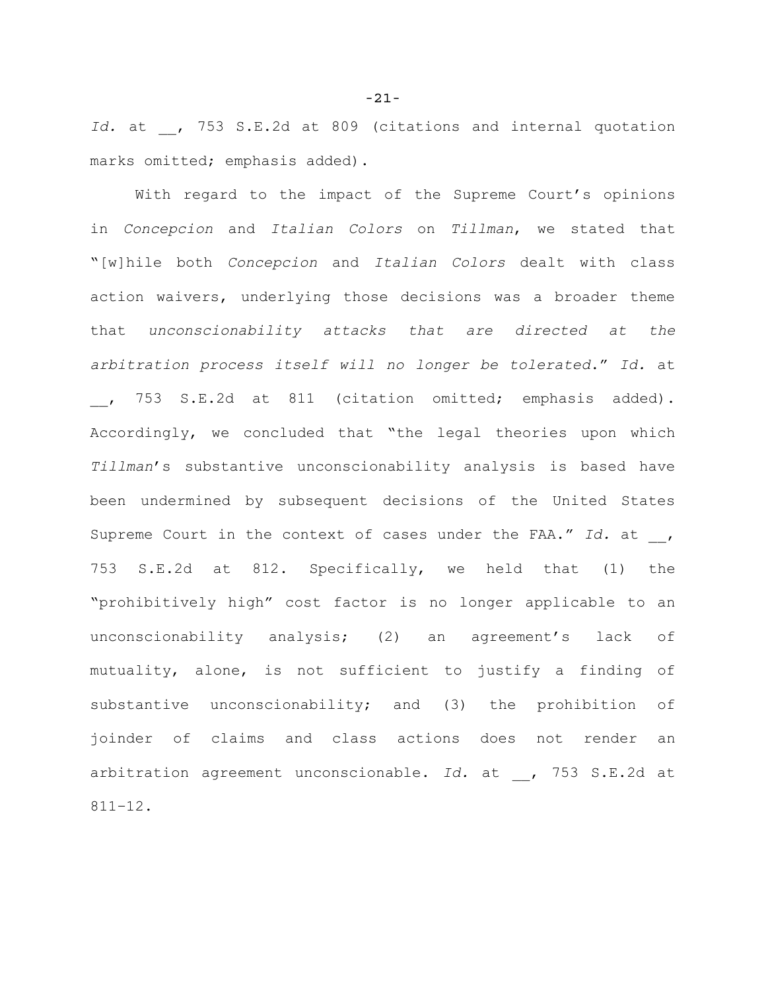Id. at , 753 S.E.2d at 809 (citations and internal quotation marks omitted; emphasis added).

With regard to the impact of the Supreme Court's opinions in *Concepcion* and *Italian Colors* on *Tillman*, we stated that "[w]hile both *Concepcion* and *Italian Colors* dealt with class action waivers, underlying those decisions was a broader theme that *unconscionability attacks that are directed at the arbitration process itself will no longer be tolerated*." *Id.* at \_\_, 753 S.E.2d at 811 (citation omitted; emphasis added). Accordingly, we concluded that "the legal theories upon which *Tillman*'s substantive unconscionability analysis is based have been undermined by subsequent decisions of the United States Supreme Court in the context of cases under the FAA." Id. at , 753 S.E.2d at 812. Specifically, we held that (1) the "prohibitively high" cost factor is no longer applicable to an unconscionability analysis; (2) an agreement's lack of mutuality, alone, is not sufficient to justify a finding of substantive unconscionability; and (3) the prohibition of joinder of claims and class actions does not render an arbitration agreement unconscionable. Id. at , 753 S.E.2d at 811–12.

-21-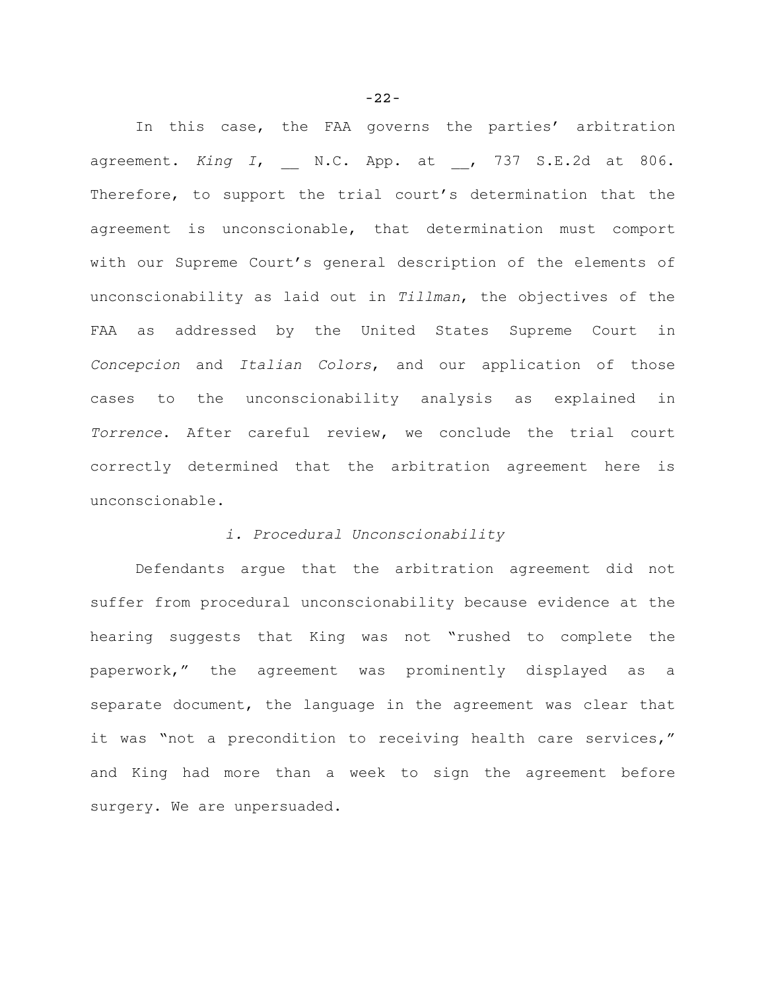In this case, the FAA governs the parties' arbitration agreement. *King I*, \_\_ N.C. App. at \_\_, 737 S.E.2d at 806. Therefore, to support the trial court's determination that the agreement is unconscionable, that determination must comport with our Supreme Court's general description of the elements of unconscionability as laid out in *Tillman*, the objectives of the FAA as addressed by the United States Supreme Court in *Concepcion* and *Italian Colors*, and our application of those cases to the unconscionability analysis as explained in *Torrence*. After careful review, we conclude the trial court correctly determined that the arbitration agreement here is unconscionable.

## *i. Procedural Unconscionability*

Defendants argue that the arbitration agreement did not suffer from procedural unconscionability because evidence at the hearing suggests that King was not "rushed to complete the paperwork," the agreement was prominently displayed as a separate document, the language in the agreement was clear that it was "not a precondition to receiving health care services," and King had more than a week to sign the agreement before surgery. We are unpersuaded.

-22-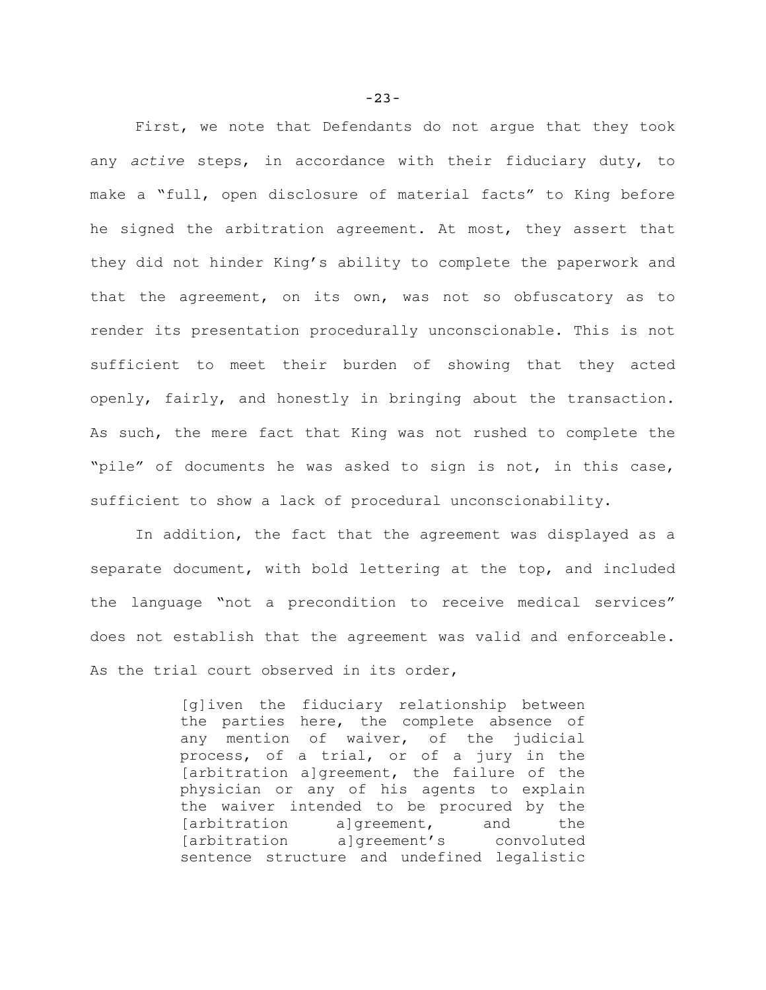First, we note that Defendants do not argue that they took any *active* steps, in accordance with their fiduciary duty, to make a "full, open disclosure of material facts" to King before he signed the arbitration agreement. At most, they assert that they did not hinder King's ability to complete the paperwork and that the agreement, on its own, was not so obfuscatory as to render its presentation procedurally unconscionable. This is not sufficient to meet their burden of showing that they acted openly, fairly, and honestly in bringing about the transaction. As such, the mere fact that King was not rushed to complete the "pile" of documents he was asked to sign is not, in this case, sufficient to show a lack of procedural unconscionability.

In addition, the fact that the agreement was displayed as a separate document, with bold lettering at the top, and included the language "not a precondition to receive medical services" does not establish that the agreement was valid and enforceable. As the trial court observed in its order,

> [g]iven the fiduciary relationship between the parties here, the complete absence of any mention of waiver, of the judicial process, of a trial, or of a jury in the [arbitration a]greement, the failure of the physician or any of his agents to explain the waiver intended to be procured by the [arbitration a]greement, and the [arbitration a]greement's convoluted sentence structure and undefined legalistic

-23-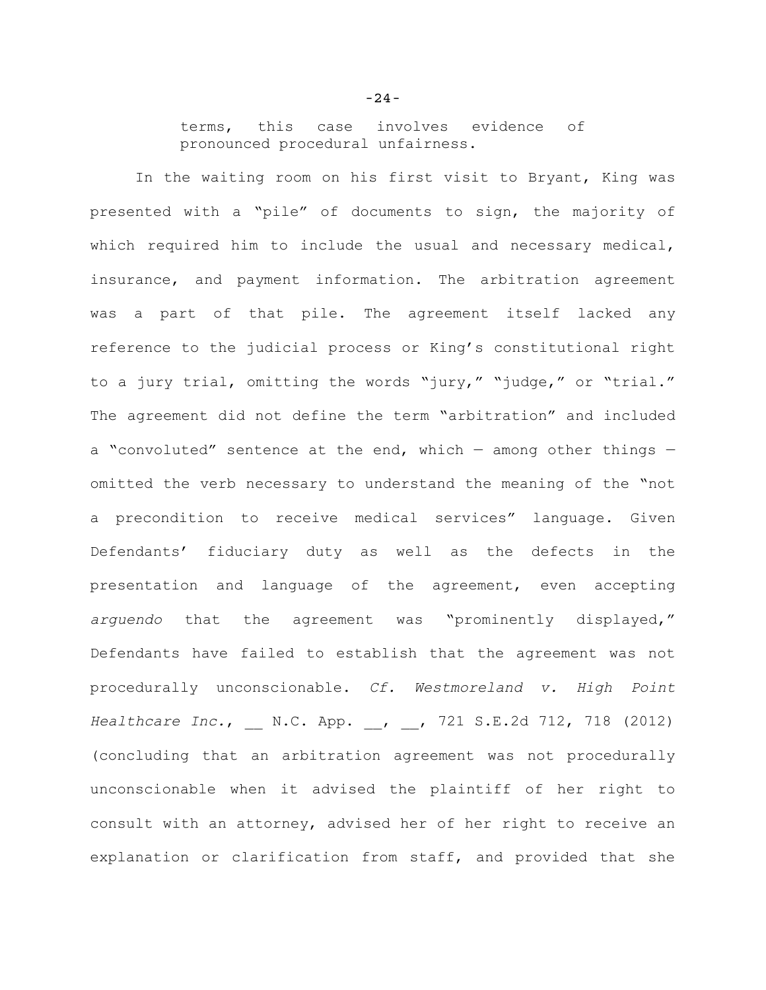terms, this case involves evidence of pronounced procedural unfairness.

In the waiting room on his first visit to Bryant, King was presented with a "pile" of documents to sign, the majority of which required him to include the usual and necessary medical, insurance, and payment information. The arbitration agreement was a part of that pile. The agreement itself lacked any reference to the judicial process or King's constitutional right to a jury trial, omitting the words "jury," "judge," or "trial." The agreement did not define the term "arbitration" and included a "convoluted" sentence at the end, which  $-$  among other things  $$ omitted the verb necessary to understand the meaning of the "not a precondition to receive medical services" language. Given Defendants' fiduciary duty as well as the defects in the presentation and language of the agreement, even accepting *arguendo* that the agreement was "prominently displayed," Defendants have failed to establish that the agreement was not procedurally unconscionable. *Cf. Westmoreland v. High Point Healthcare Inc.*, \_\_ N.C. App. \_\_, \_\_, 721 S.E.2d 712, 718 (2012) (concluding that an arbitration agreement was not procedurally unconscionable when it advised the plaintiff of her right to consult with an attorney, advised her of her right to receive an explanation or clarification from staff, and provided that she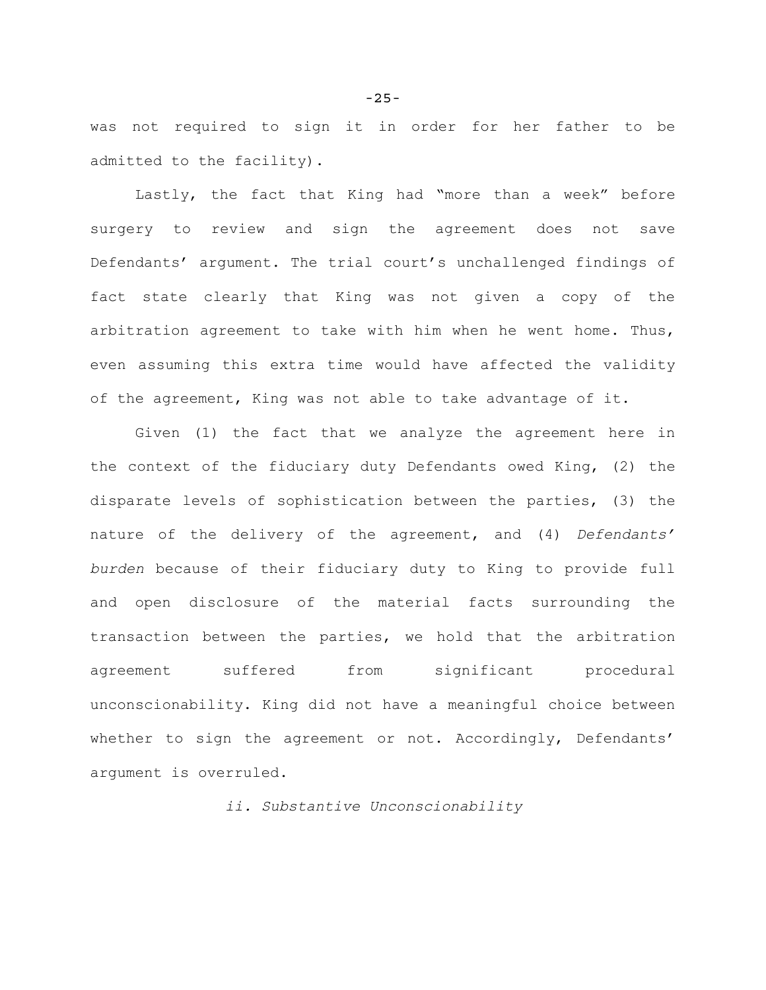was not required to sign it in order for her father to be admitted to the facility).

Lastly, the fact that King had "more than a week" before surgery to review and sign the agreement does not save Defendants' argument. The trial court's unchallenged findings of fact state clearly that King was not given a copy of the arbitration agreement to take with him when he went home. Thus, even assuming this extra time would have affected the validity of the agreement, King was not able to take advantage of it.

Given (1) the fact that we analyze the agreement here in the context of the fiduciary duty Defendants owed King, (2) the disparate levels of sophistication between the parties, (3) the nature of the delivery of the agreement, and (4) *Defendants' burden* because of their fiduciary duty to King to provide full and open disclosure of the material facts surrounding the transaction between the parties, we hold that the arbitration agreement suffered from significant procedural unconscionability. King did not have a meaningful choice between whether to sign the agreement or not. Accordingly, Defendants' argument is overruled.

*ii. Substantive Unconscionability*

-25-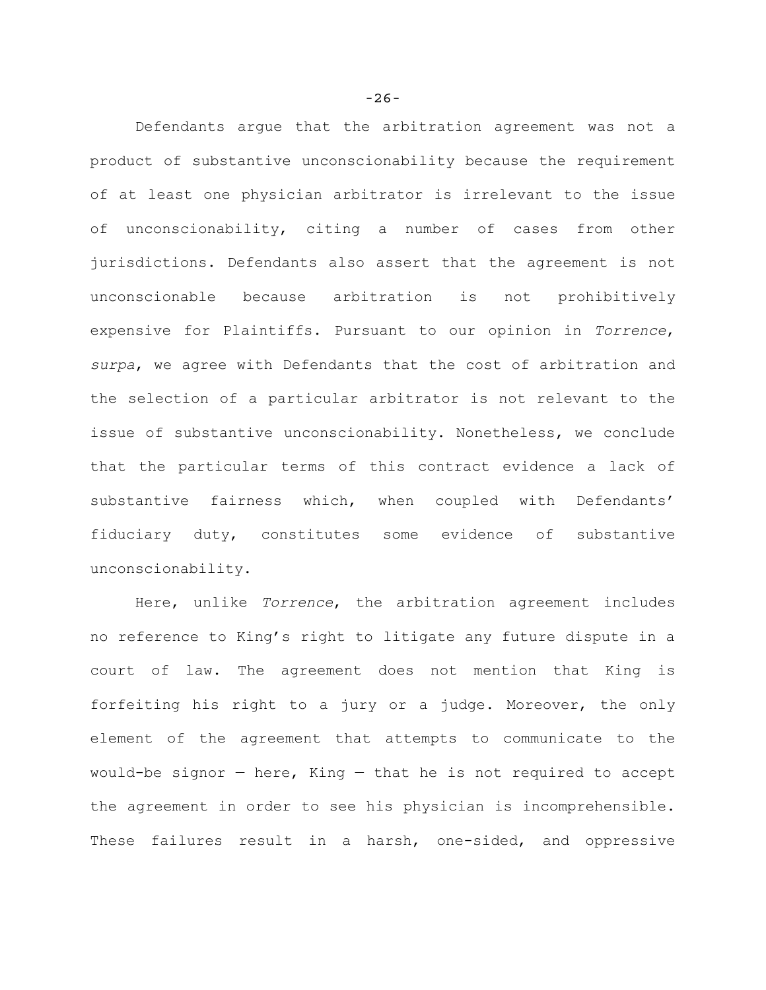Defendants argue that the arbitration agreement was not a product of substantive unconscionability because the requirement of at least one physician arbitrator is irrelevant to the issue of unconscionability, citing a number of cases from other jurisdictions. Defendants also assert that the agreement is not unconscionable because arbitration is not prohibitively expensive for Plaintiffs. Pursuant to our opinion in *Torrence*, *surpa*, we agree with Defendants that the cost of arbitration and the selection of a particular arbitrator is not relevant to the issue of substantive unconscionability. Nonetheless, we conclude that the particular terms of this contract evidence a lack of substantive fairness which, when coupled with Defendants' fiduciary duty, constitutes some evidence of substantive unconscionability.

Here, unlike *Torrence*, the arbitration agreement includes no reference to King's right to litigate any future dispute in a court of law. The agreement does not mention that King is forfeiting his right to a jury or a judge. Moreover, the only element of the agreement that attempts to communicate to the would-be signor  $-$  here, King  $-$  that he is not required to accept the agreement in order to see his physician is incomprehensible. These failures result in a harsh, one-sided, and oppressive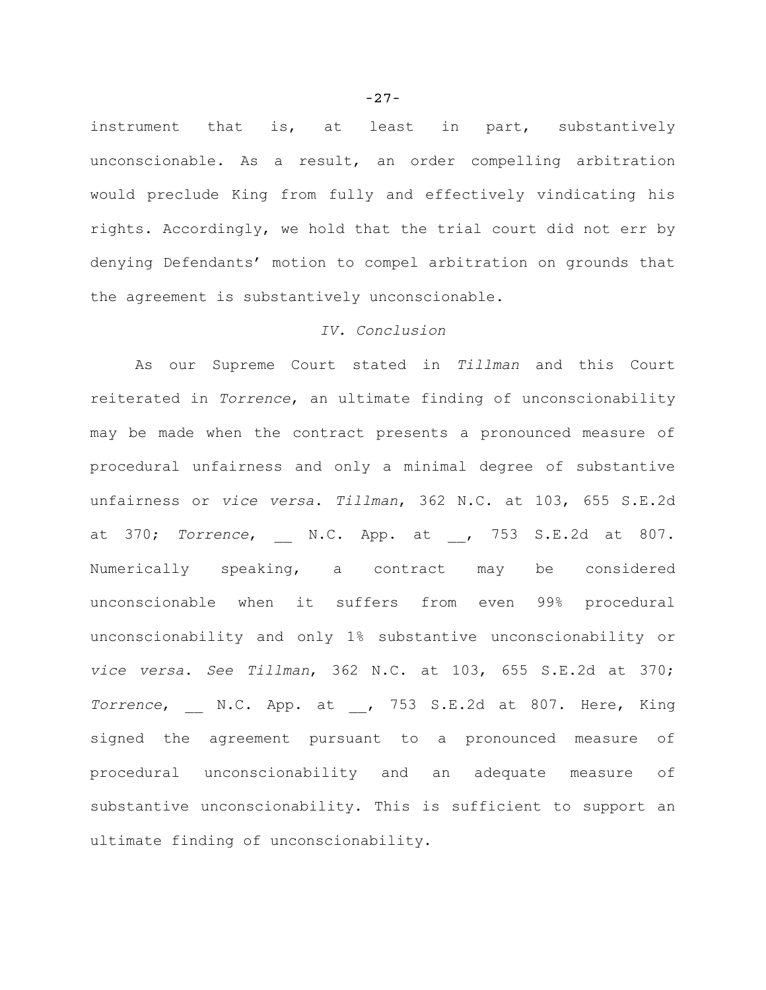instrument that is, at least in part, substantively unconscionable. As a result, an order compelling arbitration would preclude King from fully and effectively vindicating his rights. Accordingly, we hold that the trial court did not err by denying Defendants' motion to compel arbitration on grounds that the agreement is substantively unconscionable.

## *IV. Conclusion*

As our Supreme Court stated in *Tillman* and this Court reiterated in *Torrence*, an ultimate finding of unconscionability may be made when the contract presents a pronounced measure of procedural unfairness and only a minimal degree of substantive unfairness or *vice versa*. *Tillman*, 362 N.C. at 103, 655 S.E.2d at 370; Torrence, N.C. App. at , 753 S.E.2d at 807. Numerically speaking, a contract may be considered unconscionable when it suffers from even 99% procedural unconscionability and only 1% substantive unconscionability or *vice versa*. *See Tillman*, 362 N.C. at 103, 655 S.E.2d at 370; *Torrence*, N.C. App. at , 753 S.E.2d at 807. Here, King signed the agreement pursuant to a pronounced measure of procedural unconscionability and an adequate measure of substantive unconscionability. This is sufficient to support an ultimate finding of unconscionability.

-27-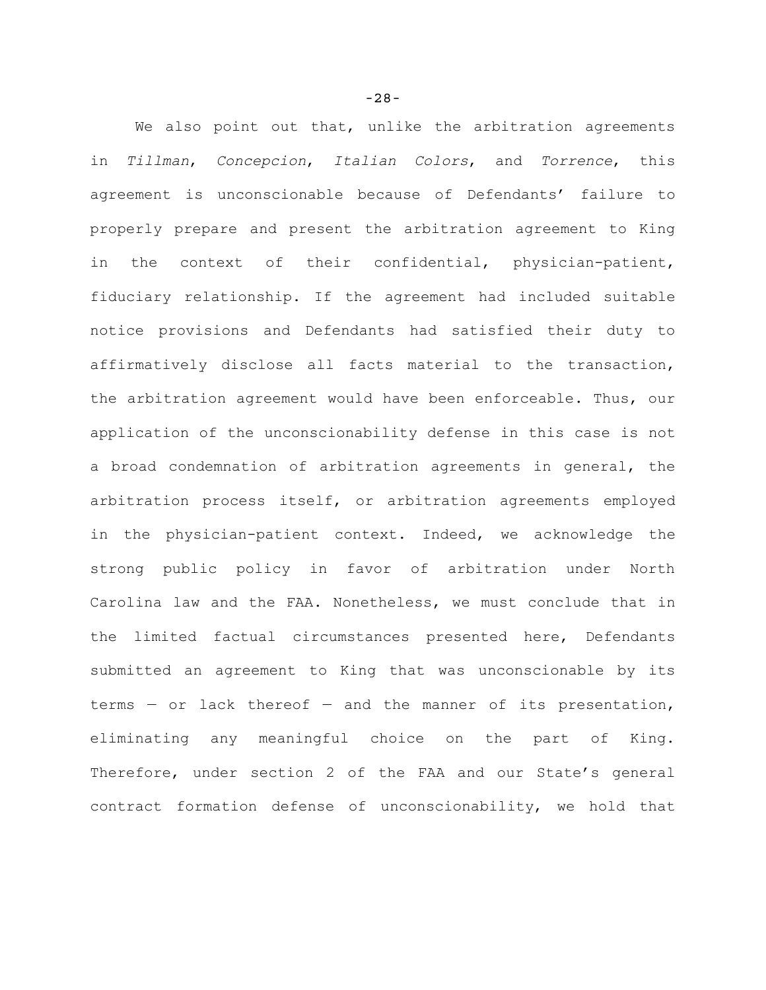We also point out that, unlike the arbitration agreements in *Tillman*, *Concepcion*, *Italian Colors*, and *Torrence*, this agreement is unconscionable because of Defendants' failure to properly prepare and present the arbitration agreement to King in the context of their confidential, physician-patient, fiduciary relationship. If the agreement had included suitable notice provisions and Defendants had satisfied their duty to affirmatively disclose all facts material to the transaction, the arbitration agreement would have been enforceable. Thus, our application of the unconscionability defense in this case is not a broad condemnation of arbitration agreements in general, the arbitration process itself, or arbitration agreements employed in the physician-patient context. Indeed, we acknowledge the strong public policy in favor of arbitration under North Carolina law and the FAA. Nonetheless, we must conclude that in the limited factual circumstances presented here, Defendants submitted an agreement to King that was unconscionable by its terms  $-$  or lack thereof  $-$  and the manner of its presentation, eliminating any meaningful choice on the part of King. Therefore, under section 2 of the FAA and our State's general contract formation defense of unconscionability, we hold that

-28-